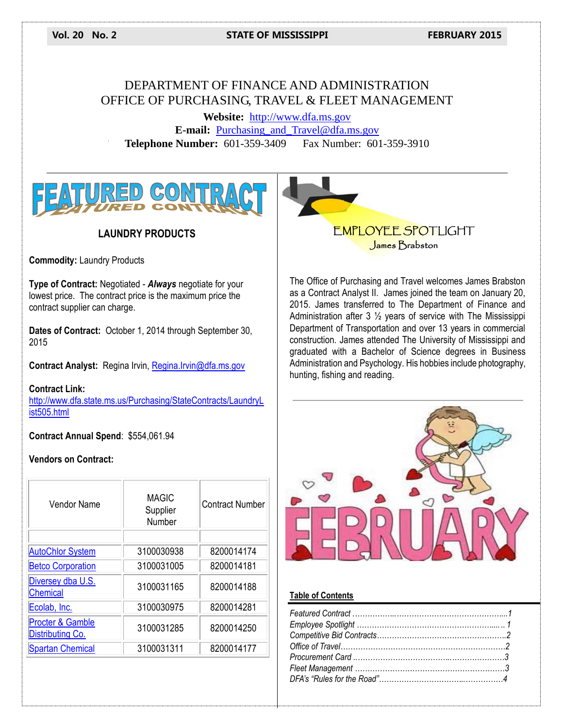**Vol. 20 No. 2 STATE OF MISSISSIPPI FEBRUARY 2015**

## DEPARTMENT OF FINANCE AND ADMINISTRATION OFFICE OF PURCHASING, TRAVEL & FLEET MANAGEMENT

**Website:** [http://www.dfa.ms.gov](http://www.dfa.ms.gov/) **E-mail:** [Purchasing\\_and\\_Travel@dfa.ms.gov](mailto:Purchasing_and_Travel@dfa.ms.gov) **Telephone Number:** 601-359-3409 Fax Number: 601-359-3910



## **LAUNDRY PRODUCTS**

**Commodity:** Laundry Products

**Type of Contract:** Negotiated - *Always* negotiate for your lowest price. The contract price is the maximum price the contract supplier can charge.

**Dates of Contract:** October 1, 2014 through September 30, 2015

**Contract Analyst:** Regina Irvin, [Regina.Irvin@dfa.ms.gov](mailto:Regina.Irvin@dfa.ms.gov)

#### **Contract Link:**

[http://www.dfa.state.ms.us/Purchasing/StateContracts/LaundryL](http://www.dfa.state.ms.us/Purchasing/StateContracts/LaundryList505.html) [ist505.html](http://www.dfa.state.ms.us/Purchasing/StateContracts/LaundryList505.html)

**Contract Annual Spend**: \$554,061.94

#### **Vendors on Contract:**

| Vendor Name                          | MAGIC<br>Supplier<br>Number | <b>Contract Number</b> |
|--------------------------------------|-----------------------------|------------------------|
|                                      |                             |                        |
| <b>AutoChlor System</b>              | 3100030938                  | 8200014174             |
| <b>Betco Corporation</b>             | 3100031005                  | 8200014181             |
| Diversey dba U.S.<br><b>Chemical</b> | 3100031165                  | 8200014188             |
| Ecolab, Inc.                         | 3100030975                  | 8200014281             |
| Procter & Gamble<br>Distributing Co. | 3100031285                  | 8200014250             |
| <b>Spartan Chemical</b>              | 3100031311                  | 8200014177             |

## EMPLOYEE SPOTLIGHT James Brabston

The Office of Purchasing and Travel welcomes James Brabston as a Contract Analyst II. James joined the team on January 20, 2015. James transferred to The Department of Finance and Administration after 3 ½ years of service with The Mississippi Department of Transportation and over 13 years in commercial construction. James attended The University of Mississippi and graduated with a Bachelor of Science degrees in Business Administration and Psychology. His hobbies include photography, hunting, fishing and reading.



#### **Table of Contents**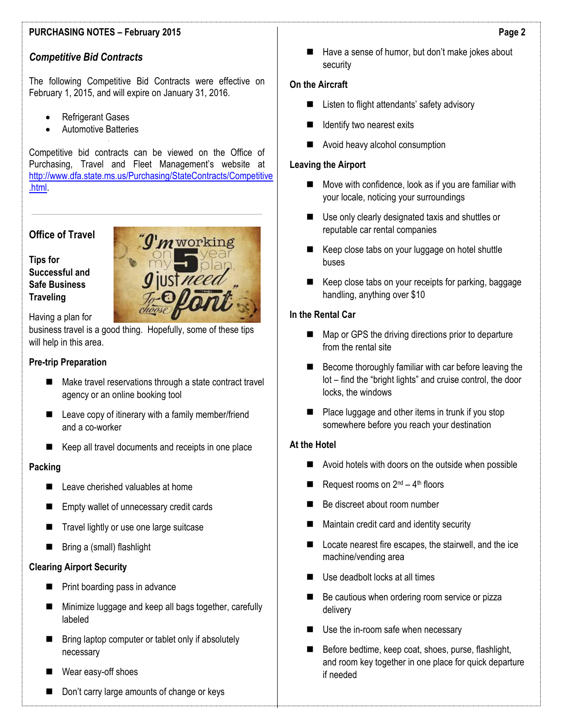## *Competitive Bid Contracts*

The following Competitive Bid Contracts were effective on February 1, 2015, and will expire on January 31, 2016.

- Refrigerant Gases
- Automotive Batteries

Competitive bid contracts can be viewed on the Office of Purchasing, Travel and Fleet Management's website at [http://www.dfa.state.ms.us/Purchasing/StateContracts/Competitive](http://www.dfa.state.ms.us/Purchasing/StateContracts/Competitive.html) [.html.](http://www.dfa.state.ms.us/Purchasing/StateContracts/Competitive.html)

## **Office of Travel**

**Tips for Successful and Safe Business Traveling**

Having a plan for

business travel is a good thing. Hopefully, some of these tips will help in this area.

#### **Pre-trip Preparation**

- Make travel reservations through a state contract travel agency or an online booking tool
- Leave copy of itinerary with a family member/friend and a co-worker
- Keep all travel documents and receipts in one place

### **Packing**

- Leave cherished valuables at home
- Empty wallet of unnecessary credit cards
- Travel lightly or use one large suitcase
- Bring a (small) flashlight

### **Clearing Airport Security**

- **Print boarding pass in advance**
- Minimize luggage and keep all bags together, carefully labeled
- Bring laptop computer or tablet only if absolutely necessary
- Wear easy-off shoes
- Don't carry large amounts of change or keys

■ Have a sense of humor, but don't make jokes about security

#### **On the Aircraft**

- Listen to flight attendants' safety advisory
- Identify two nearest exits
- Avoid heavy alcohol consumption

#### **Leaving the Airport**

- **Move with confidence, look as if you are familiar with** your locale, noticing your surroundings
- Use only clearly designated taxis and shuttles or reputable car rental companies
- Keep close tabs on your luggage on hotel shuttle buses
- Keep close tabs on your receipts for parking, baggage handling, anything over \$10

## **In the Rental Car**

- Map or GPS the driving directions prior to departure from the rental site
- Become thoroughly familiar with car before leaving the lot – find the "bright lights" and cruise control, the door locks, the windows
- $\blacksquare$  Place luggage and other items in trunk if you stop somewhere before you reach your destination

#### **At the Hotel**

- Avoid hotels with doors on the outside when possible
- Request rooms on  $2^{nd} 4^{th}$  floors
- Be discreet about room number
- **Maintain credit card and identity security**
- Locate nearest fire escapes, the stairwell, and the ice machine/vending area
- Use deadbolt locks at all times
- Be cautious when ordering room service or pizza delivery
- Use the in-room safe when necessary
- Before bedtime, keep coat, shoes, purse, flashlight, and room key together in one place for quick departure if needed

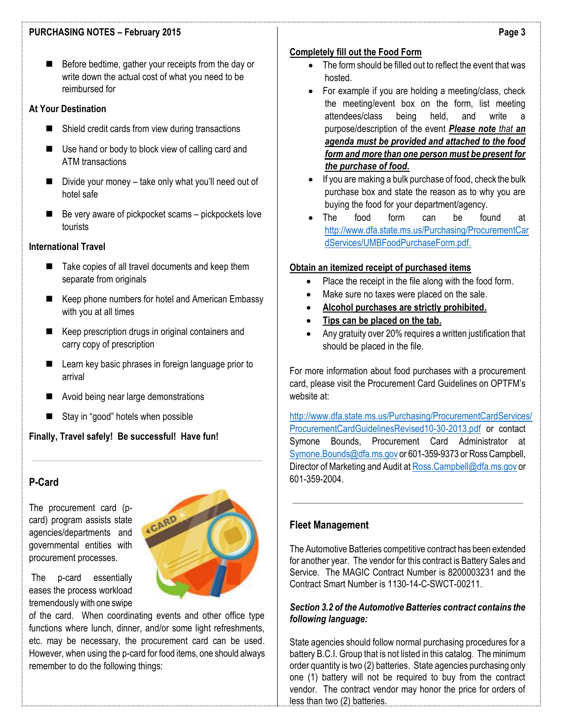■ Before bedtime, gather your receipts from the day or write down the actual cost of what you need to be reimbursed for

#### **At Your Destination**

- Shield credit cards from view during transactions
- Use hand or body to block view of calling card and ATM transactions
- Divide your money take only what you'll need out of hotel safe
- $\blacksquare$  Be very aware of pickpocket scams pickpockets love tourists

### **International Travel**

- $\blacksquare$  Take copies of all travel documents and keep them separate from originals
- Keep phone numbers for hotel and American Embassy with you at all times
- Keep prescription drugs in original containers and carry copy of prescription
- Learn key basic phrases in foreign language prior to arrival
- Avoid being near large demonstrations
- Stay in "good" hotels when possible

**Finally, Travel safely! Be successful! Have fun!**

## **P-Card**

The procurement card (pcard) program assists state agencies/departments and governmental entities with procurement processes.

The p-card essentially eases the process workload tremendously with one swipe

of the card. When coordinating events and other office type functions where lunch, dinner, and/or some light refreshments, etc. may be necessary, the procurement card can be used. However, when using the p-card for food items, one should always remember to do the following things:

### **Completely fill out the Food Form**

- The form should be filled out to reflect the event that was hosted.
- For example if you are holding a meeting/class, check the meeting/event box on the form, list meeting attendees/class being held, and write a purpose/description of the event *Please note that an agenda must be provided and attached to the food form and more than one person must be present for the purchase of food.*
- If you are making a bulk purchase of food, check the bulk purchase box and state the reason as to why you are buying the food for your department/agency.
- The food form can be found at [http://www.dfa.state.ms.us/Purchasing/ProcurementCar](http://www.dfa.state.ms.us/Purchasing/ProcurementCardServices/UMBFoodPurchaseForm.pdf) [dServices/UMBFoodPurchaseForm.pdf.](http://www.dfa.state.ms.us/Purchasing/ProcurementCardServices/UMBFoodPurchaseForm.pdf)

## **Obtain an itemized receipt of purchased items**

- Place the receipt in the file along with the food form.
- Make sure no taxes were placed on the sale.
- **Alcohol purchases are strictly prohibited.**
- **Tips can be placed on the tab.**
- Any gratuity over 20% requires a written justification that should be placed in the file.

For more information about food purchases with a procurement card, please visit the Procurement Card Guidelines on OPTFM's website at:

[http://www.dfa.state.ms.us/Purchasing/ProcurementCardServices/](http://www.dfa.state.ms.us/Purchasing/ProcurementCardServices/ProcurementCardGuidelinesRevised10-30-2013.pdf) [ProcurementCardGuidelinesRevised10-30-2013.pdf](http://www.dfa.state.ms.us/Purchasing/ProcurementCardServices/ProcurementCardGuidelinesRevised10-30-2013.pdf) or contact Symone Bounds, Procurement Card Administrator at [Symone.Bounds@dfa.ms.gov](mailto:Symone.Bounds@dfa.ms.gov) or 601-359-9373 or Ross Campbell, Director of Marketing and Audit a[t Ross.Campbell@dfa.ms.gov](mailto:Ross.Campbell@dfa.ms.gov) or 601-359-2004.

## **Fleet Management**

The Automotive Batteries competitive contract has been extended for another year. The vendor for this contract is Battery Sales and Service. The MAGIC Contract Number is 8200003231 and the Contract Smart Number is 1130-14-C-SWCT-00211.

#### *Section 3.2 of the Automotive Batteries contract contains the following language:*

State agencies should follow normal purchasing procedures for a battery B.C.I. Group that is not listed in this catalog. The minimum order quantity is two (2) batteries. State agencies purchasing only one (1) battery will not be required to buy from the contract vendor. The contract vendor may honor the price for orders of less than two (2) batteries.

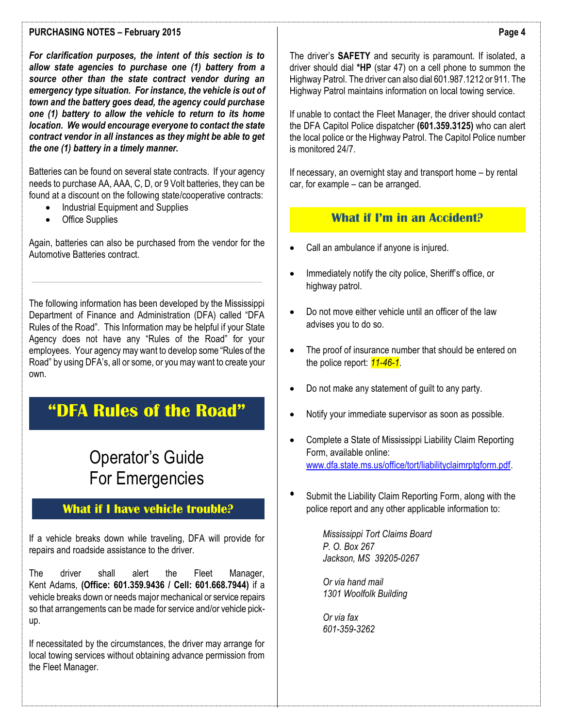*For clarification purposes, the intent of this section is to allow state agencies to purchase one (1) battery from a source other than the state contract vendor during an emergency type situation. For instance, the vehicle is out of town and the battery goes dead, the agency could purchase one (1) battery to allow the vehicle to return to its home location. We would encourage everyone to contact the state contract vendor in all instances as they might be able to get the one (1) battery in a timely manner.*

Batteries can be found on several state contracts. If your agency needs to purchase AA, AAA, C, D, or 9 Volt batteries, they can be found at a discount on the following state/cooperative contracts:

- Industrial Equipment and Supplies
- Office Supplies

Again, batteries can also be purchased from the vendor for the Automotive Batteries contract.

The following information has been developed by the Mississippi Department of Finance and Administration (DFA) called "DFA Rules of the Road". This Information may be helpful if your State Agency does not have any "Rules of the Road" for your employees. Your agency may want to develop some "Rules of the Road" by using DFA's, all or some, or you may want to create your own.

# **"DFA Rules of the Road"**

# Operator's Guide For Emergencies

## **What if I have vehicle trouble?**

If a vehicle breaks down while traveling, DFA will provide for repairs and roadside assistance to the driver.

The driver shall alert the Fleet Manager, Kent Adams, **(Office: 601.359.9436 / Cell: 601.668.7944)** if a vehicle breaks down or needs major mechanical or service repairs so that arrangements can be made for service and/or vehicle pickup.

If necessitated by the circumstances, the driver may arrange for local towing services without obtaining advance permission from the Fleet Manager.

The driver's **SAFETY** and security is paramount. If isolated, a driver should dial **\*HP** (star 47) on a cell phone to summon the Highway Patrol. The driver can also dial 601.987.1212 or 911. The Highway Patrol maintains information on local towing service.

If unable to contact the Fleet Manager, the driver should contact the DFA Capitol Police dispatcher **(601.359.3125)** who can alert the local police or the Highway Patrol. The Capitol Police number is monitored 24/7.

If necessary, an overnight stay and transport home – by rental car, for example – can be arranged.

## **What if I'm in an Accident?**

- Call an ambulance if anyone is injured.
- Immediately notify the city police, Sheriff's office, or highway patrol.
- Do not move either vehicle until an officer of the law advises you to do so.
- The proof of insurance number that should be entered on the police report: *11-46-1*.
- Do not make any statement of guilt to any party.
- Notify your immediate supervisor as soon as possible.
- Complete a State of Mississippi Liability Claim Reporting Form, available online: [www.dfa.state.ms.us/office/tort/liabilityclaimrptgform.pdf.](http://www.dfa.state.ms.us/office/tort/liabilityclaimrptgform.pdf)
- Submit the Liability Claim Reporting Form, along with the police report and any other applicable information to:

*Mississippi Tort Claims Board P. O. Box 267 Jackson, MS 39205-0267*

*Or via hand mail 1301 Woolfolk Building* 

*Or via fax 601-359-3262*